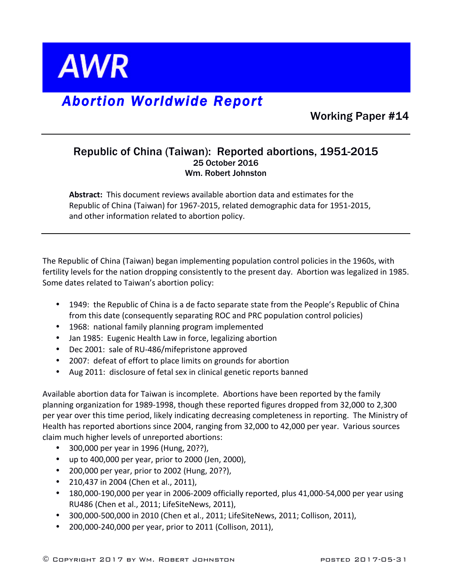

## *Abortion Worldwide Report*

Working Paper #14

## Republic of China (Taiwan): Reported abortions, 1951-2015 25 October 2016 Wm. Robert Johnston

**Abstract:** This document reviews available abortion data and estimates for the Republic of China (Taiwan) for 1967-2015, related demographic data for 1951-2015, and other information related to abortion policy.

The Republic of China (Taiwan) began implementing population control policies in the 1960s, with fertility levels for the nation dropping consistently to the present day. Abortion was legalized in 1985. Some dates related to Taiwan's abortion policy:

- 1949: the Republic of China is a de facto separate state from the People's Republic of China from this date (consequently separating ROC and PRC population control policies)
- 1968: national family planning program implemented
- Jan 1985: Eugenic Health Law in force, legalizing abortion
- Dec 2001: sale of RU-486/mifepristone approved
- 2007: defeat of effort to place limits on grounds for abortion
- Aug 2011: disclosure of fetal sex in clinical genetic reports banned

Available abortion data for Taiwan is incomplete. Abortions have been reported by the family planning organization for 1989-1998, though these reported figures dropped from 32,000 to 2,300 per year over this time period, likely indicating decreasing completeness in reporting. The Ministry of Health has reported abortions since 2004, ranging from 32,000 to 42,000 per year. Various sources claim much higher levels of unreported abortions:

- 300,000 per year in 1996 (Hung, 20??),
- up to  $400,000$  per year, prior to  $2000$  (Jen,  $2000$ ),
- 200,000 per year, prior to 2002 (Hung, 20??),
- 210,437 in 2004 (Chen et al., 2011),
- 180,000-190,000 per year in 2006-2009 officially reported, plus 41,000-54,000 per year using RU486 (Chen et al., 2011; LifeSiteNews, 2011),
- 300,000-500,000 in 2010 (Chen et al., 2011; LifeSiteNews, 2011; Collison, 2011),
- 200,000-240,000 per year, prior to 2011 (Collison, 2011),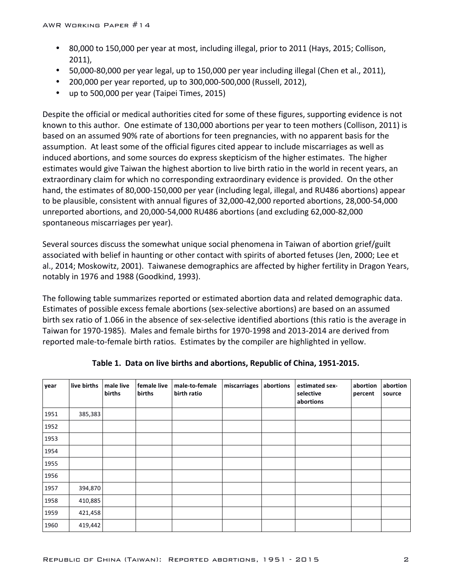- 80,000 to 150,000 per year at most, including illegal, prior to 2011 (Hays, 2015; Collison, 2011),
- 50,000-80,000 per year legal, up to 150,000 per year including illegal (Chen et al., 2011),
- 200,000 per year reported, up to 300,000-500,000 (Russell, 2012),
- up to 500,000 per year (Taipei Times, 2015)

Despite the official or medical authorities cited for some of these figures, supporting evidence is not known to this author. One estimate of 130,000 abortions per year to teen mothers (Collison, 2011) is based on an assumed 90% rate of abortions for teen pregnancies, with no apparent basis for the assumption. At least some of the official figures cited appear to include miscarriages as well as induced abortions, and some sources do express skepticism of the higher estimates. The higher estimates would give Taiwan the highest abortion to live birth ratio in the world in recent years, an extraordinary claim for which no corresponding extraordinary evidence is provided. On the other hand, the estimates of 80,000-150,000 per year (including legal, illegal, and RU486 abortions) appear to be plausible, consistent with annual figures of 32,000-42,000 reported abortions, 28,000-54,000 unreported abortions, and 20,000-54,000 RU486 abortions (and excluding 62,000-82,000 spontaneous miscarriages per year).

Several sources discuss the somewhat unique social phenomena in Taiwan of abortion grief/guilt associated with belief in haunting or other contact with spirits of aborted fetuses (Jen, 2000; Lee et al., 2014; Moskowitz, 2001). Taiwanese demographics are affected by higher fertility in Dragon Years, notably in 1976 and 1988 (Goodkind, 1993).

The following table summarizes reported or estimated abortion data and related demographic data. Estimates of possible excess female abortions (sex-selective abortions) are based on an assumed birth sex ratio of 1.066 in the absence of sex-selective identified abortions (this ratio is the average in Taiwan for 1970-1985). Males and female births for 1970-1998 and 2013-2014 are derived from reported male-to-female birth ratios. Estimates by the compiler are highlighted in yellow.

| year | live births | male live<br>births | female live<br>births | male-to-female<br>birth ratio | miscarriages | abortions | estimated sex-<br>selective<br>abortions | abortion<br>percent | abortion<br>source |
|------|-------------|---------------------|-----------------------|-------------------------------|--------------|-----------|------------------------------------------|---------------------|--------------------|
| 1951 | 385,383     |                     |                       |                               |              |           |                                          |                     |                    |
| 1952 |             |                     |                       |                               |              |           |                                          |                     |                    |
| 1953 |             |                     |                       |                               |              |           |                                          |                     |                    |
| 1954 |             |                     |                       |                               |              |           |                                          |                     |                    |
| 1955 |             |                     |                       |                               |              |           |                                          |                     |                    |
| 1956 |             |                     |                       |                               |              |           |                                          |                     |                    |
| 1957 | 394,870     |                     |                       |                               |              |           |                                          |                     |                    |
| 1958 | 410,885     |                     |                       |                               |              |           |                                          |                     |                    |
| 1959 | 421,458     |                     |                       |                               |              |           |                                          |                     |                    |
| 1960 | 419,442     |                     |                       |                               |              |           |                                          |                     |                    |

Table 1. Data on live births and abortions, Republic of China, 1951-2015.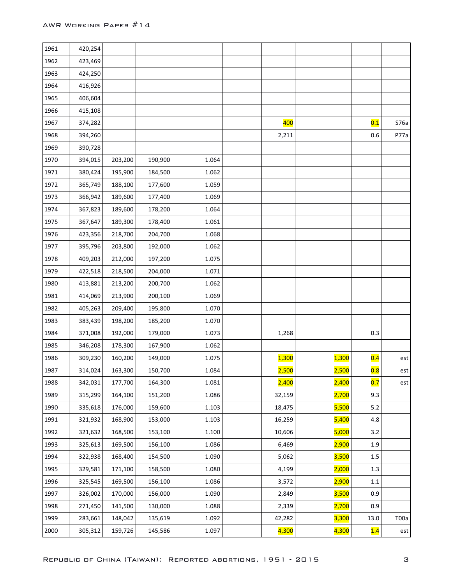| 1961 | 420,254 |         |         |       |        |       |         |                |
|------|---------|---------|---------|-------|--------|-------|---------|----------------|
| 1962 | 423,469 |         |         |       |        |       |         |                |
| 1963 | 424,250 |         |         |       |        |       |         |                |
| 1964 | 416,926 |         |         |       |        |       |         |                |
| 1965 | 406,604 |         |         |       |        |       |         |                |
| 1966 | 415,108 |         |         |       |        |       |         |                |
| 1967 | 374,282 |         |         |       | 400    |       | 0.1     | S76a           |
| 1968 | 394,260 |         |         |       | 2,211  |       | 0.6     | P77a           |
| 1969 | 390,728 |         |         |       |        |       |         |                |
| 1970 | 394,015 | 203,200 | 190,900 | 1.064 |        |       |         |                |
| 1971 | 380,424 | 195,900 | 184,500 | 1.062 |        |       |         |                |
| 1972 | 365,749 | 188,100 | 177,600 | 1.059 |        |       |         |                |
| 1973 | 366,942 | 189,600 | 177,400 | 1.069 |        |       |         |                |
| 1974 | 367,823 | 189,600 | 178,200 | 1.064 |        |       |         |                |
| 1975 | 367,647 | 189,300 | 178,400 | 1.061 |        |       |         |                |
| 1976 | 423,356 | 218,700 | 204,700 | 1.068 |        |       |         |                |
| 1977 | 395,796 | 203,800 | 192,000 | 1.062 |        |       |         |                |
| 1978 | 409,203 | 212,000 | 197,200 | 1.075 |        |       |         |                |
| 1979 | 422,518 | 218,500 | 204,000 | 1.071 |        |       |         |                |
| 1980 | 413,881 | 213,200 | 200,700 | 1.062 |        |       |         |                |
| 1981 | 414,069 | 213,900 | 200,100 | 1.069 |        |       |         |                |
| 1982 | 405,263 | 209,400 | 195,800 | 1.070 |        |       |         |                |
| 1983 | 383,439 | 198,200 | 185,200 | 1.070 |        |       |         |                |
| 1984 | 371,008 | 192,000 | 179,000 | 1.073 | 1,268  |       | 0.3     |                |
| 1985 | 346,208 | 178,300 | 167,900 | 1.062 |        |       |         |                |
| 1986 | 309,230 | 160,200 | 149,000 | 1.075 | 1,300  | 1,300 | 0.4     | est            |
| 1987 | 314,024 | 163,300 | 150,700 | 1.084 | 2,500  | 2,500 | 0.8     | $\mathsf{est}$ |
| 1988 | 342,031 | 177,700 | 164,300 | 1.081 | 2,400  | 2,400 | 0.7     | est            |
| 1989 | 315,299 | 164,100 | 151,200 | 1.086 | 32,159 | 2,700 | 9.3     |                |
| 1990 | 335,618 | 176,000 | 159,600 | 1.103 | 18,475 | 5,500 | 5.2     |                |
| 1991 | 321,932 | 168,900 | 153,000 | 1.103 | 16,259 | 5,400 | 4.8     |                |
| 1992 | 321,632 | 168,500 | 153,100 | 1.100 | 10,606 | 5,000 | 3.2     |                |
| 1993 | 325,613 | 169,500 | 156,100 | 1.086 | 6,469  | 2,900 | 1.9     |                |
| 1994 | 322,938 | 168,400 | 154,500 | 1.090 | 5,062  | 3,500 | $1.5\,$ |                |
| 1995 | 329,581 | 171,100 | 158,500 | 1.080 | 4,199  | 2,000 | 1.3     |                |
| 1996 | 325,545 | 169,500 | 156,100 | 1.086 | 3,572  | 2,900 | $1.1\,$ |                |
| 1997 | 326,002 | 170,000 | 156,000 | 1.090 | 2,849  | 3,500 | 0.9     |                |
| 1998 | 271,450 | 141,500 | 130,000 | 1.088 | 2,339  | 2,700 | 0.9     |                |
| 1999 | 283,661 | 148,042 | 135,619 | 1.092 | 42,282 | 3,300 | 13.0    | T00a           |
| 2000 | 305,312 | 159,726 | 145,586 | 1.097 | 4,300  | 4,300 | 1.4     | est            |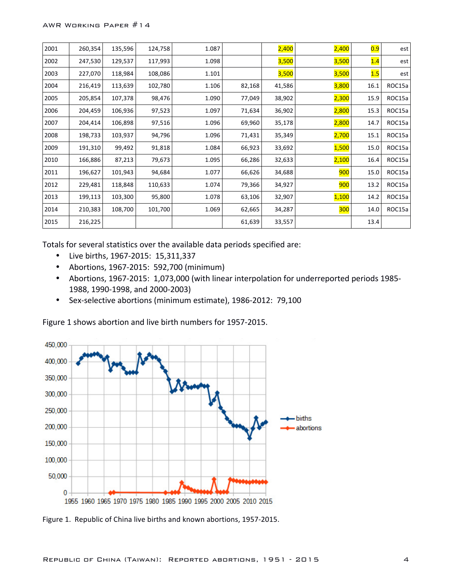| 2001 | 260,354 | 135,596 | 124,758 | 1.087 |        | 2,400  | 2,400      | 0.9  | est    |
|------|---------|---------|---------|-------|--------|--------|------------|------|--------|
| 2002 | 247,530 | 129,537 | 117,993 | 1.098 |        | 3,500  | 3,500      | 1.4  | est    |
| 2003 | 227,070 | 118,984 | 108,086 | 1.101 |        | 3,500  | 3,500      | 1.5  | est    |
| 2004 | 216,419 | 113,639 | 102,780 | 1.106 | 82,168 | 41,586 | 3,800      | 16.1 | ROC15a |
| 2005 | 205,854 | 107,378 | 98,476  | 1.090 | 77,049 | 38,902 | 2,300      | 15.9 | ROC15a |
| 2006 | 204,459 | 106,936 | 97,523  | 1.097 | 71,634 | 36,902 | 2,800      | 15.3 | ROC15a |
| 2007 | 204,414 | 106,898 | 97,516  | 1.096 | 69,960 | 35,178 | 2,800      | 14.7 | ROC15a |
| 2008 | 198,733 | 103,937 | 94,796  | 1.096 | 71,431 | 35,349 | 2,700      | 15.1 | ROC15a |
| 2009 | 191,310 | 99,492  | 91,818  | 1.084 | 66,923 | 33,692 | 1,500      | 15.0 | ROC15a |
| 2010 | 166,886 | 87,213  | 79,673  | 1.095 | 66,286 | 32,633 | 2,100      | 16.4 | ROC15a |
| 2011 | 196,627 | 101,943 | 94,684  | 1.077 | 66,626 | 34,688 | 900        | 15.0 | ROC15a |
| 2012 | 229,481 | 118,848 | 110,633 | 1.074 | 79,366 | 34,927 | 900        | 13.2 | ROC15a |
| 2013 | 199,113 | 103,300 | 95,800  | 1.078 | 63,106 | 32,907 | 1,100      | 14.2 | ROC15a |
| 2014 | 210,383 | 108,700 | 101,700 | 1.069 | 62,665 | 34,287 | <b>300</b> | 14.0 | ROC15a |
| 2015 | 216,225 |         |         |       | 61,639 | 33,557 |            | 13.4 |        |

Totals for several statistics over the available data periods specified are:

- Live births, 1967-2015: 15,311,337
- Abortions, 1967-2015: 592,700 (minimum)
- Abortions, 1967-2015: 1,073,000 (with linear interpolation for underreported periods 1985-1988, 1990-1998, and 2000-2003)
- Sex-selective abortions (minimum estimate), 1986-2012: 79,100



Figure 1 shows abortion and live birth numbers for 1957-2015.

Figure 1. Republic of China live births and known abortions, 1957-2015.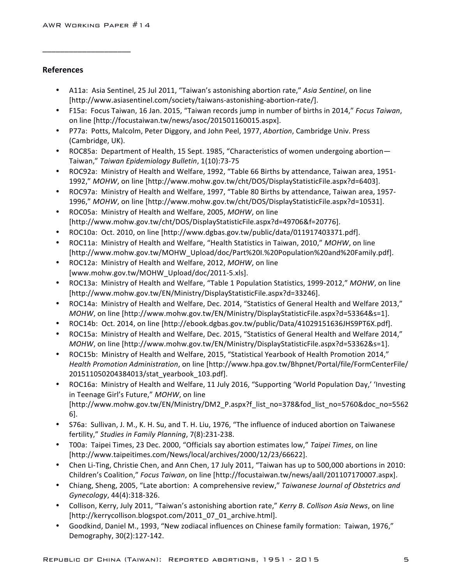\_\_\_\_\_\_\_\_\_\_\_\_\_\_\_\_\_\_\_\_

## **References**

- A11a: Asia Sentinel, 25 Jul 2011, "Taiwan's astonishing abortion rate," Asia Sentinel, on line [http://www.asiasentinel.com/society/taiwans-astonishing-abortion-rate/].
- F15a: Focus Taiwan, 16 Jan. 2015, "Taiwan records jump in number of births in 2014," *Focus Taiwan*, on line [http://focustaiwan.tw/news/asoc/201501160015.aspx].
- P77a: Potts, Malcolm, Peter Diggory, and John Peel, 1977, *Abortion*, Cambridge Univ. Press (Cambridge, UK).
- ROC85a: Department of Health, 15 Sept. 1985, "Characteristics of women undergoing abortion— Taiwan," *Taiwan Epidemiology Bulletin*, 1(10):73-75
- ROC92a: Ministry of Health and Welfare, 1992, "Table 66 Births by attendance, Taiwan area, 1951-1992," *MOHW*, on line [http://www.mohw.gov.tw/cht/DOS/DisplayStatisticFile.aspx?d=6403].
- ROC97a: Ministry of Health and Welfare, 1997, "Table 80 Births by attendance, Taiwan area, 1957-1996," *MOHW*, on line [http://www.mohw.gov.tw/cht/DOS/DisplayStatisticFile.aspx?d=10531].
- ROC05a: Ministry of Health and Welfare, 2005, *MOHW*, on line [http://www.mohw.gov.tw/cht/DOS/DisplayStatisticFile.aspx?d=49706&f=20776].
- ROC10a: Oct. 2010, on line [http://www.dgbas.gov.tw/public/data/011917403371.pdf].
- ROC11a: Ministry of Health and Welfare, "Health Statistics in Taiwan, 2010," *MOHW*, on line [http://www.mohw.gov.tw/MOHW\_Upload/doc/Part%20I.%20Population%20and%20Family.pdf].
- ROC12a: Ministry of Health and Welfare, 2012, *MOHW*, on line [www.mohw.gov.tw/MOHW\_Upload/doc/2011-5.xls].
- ROC13a: Ministry of Health and Welfare, "Table 1 Population Statistics, 1999-2012," *MOHW*, on line [http://www.mohw.gov.tw/EN/Ministry/DisplayStatisticFile.aspx?d=33246].
- ROC14a: Ministry of Health and Welfare, Dec. 2014, "Statistics of General Health and Welfare 2013," *MOHW*, on line [http://www.mohw.gov.tw/EN/Ministry/DisplayStatisticFile.aspx?d=53364&s=1].
- ROC14b: Oct. 2014, on line [http://ebook.dgbas.gov.tw/public/Data/41029151636JHS9PT6X.pdf].
- ROC15a: Ministry of Health and Welfare, Dec. 2015, "Statistics of General Health and Welfare 2014," *MOHW*, on line [http://www.mohw.gov.tw/EN/Ministry/DisplayStatisticFile.aspx?d=53362&s=1].
- ROC15b: Ministry of Health and Welfare, 2015, "Statistical Yearbook of Health Promotion 2014," Health Promotion Administration, on line [http://www.hpa.gov.tw/Bhpnet/Portal/file/FormCenterFile/ 201511050204384013/stat\_yearbook\_103.pdf].
- ROC16a: Ministry of Health and Welfare, 11 July 2016, "Supporting 'World Population Day,' 'Investing in Teenage Girl's Future," MOHW, on line [http://www.mohw.gov.tw/EN/Ministry/DM2\_P.aspx?f\_list\_no=378&fod\_list\_no=5760&doc\_no=5562 6].
- S76a: Sullivan, J. M., K. H. Su, and T. H. Liu, 1976, "The influence of induced abortion on Taiwanese fertility," Studies in Family Planning, 7(8):231-238.
- T00a: Taipei Times, 23 Dec. 2000, "Officials say abortion estimates low," Taipei Times, on line [http://www.taipeitimes.com/News/local/archives/2000/12/23/66622].
- Chen Li-Ting, Christie Chen, and Ann Chen, 17 July 2011, "Taiwan has up to 500,000 abortions in 2010: Children's Coalition," Focus Taiwan, on line [http://focustaiwan.tw/news/aall/201107170007.aspx].
- Chiang, Sheng, 2005, "Late abortion: A comprehensive review," Taiwanese Journal of Obstetrics and *Gynecology*, 44(4):318-326.
- Collison, Kerry, July 2011, "Taiwan's astonishing abortion rate," *Kerry B. Collison Asia News*, on line [http://kerrycollison.blogspot.com/2011\_07\_01\_archive.html].
- Goodkind, Daniel M., 1993, "New zodiacal influences on Chinese family formation: Taiwan, 1976," Demography, 30(2):127-142.